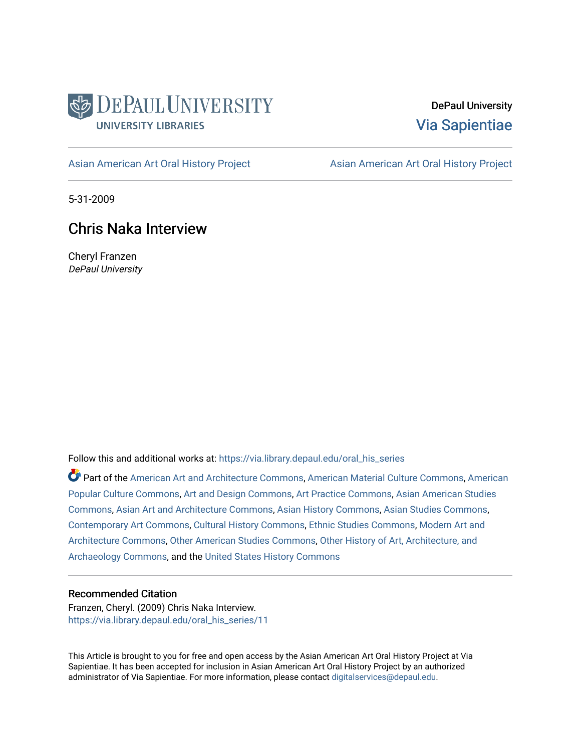

DePaul University [Via Sapientiae](https://via.library.depaul.edu/) 

[Asian American Art Oral History Project](https://via.library.depaul.edu/oral_his_series) **Asian American Art Oral History Project** 

5-31-2009

## Chris Naka Interview

Cheryl Franzen DePaul University

Follow this and additional works at: [https://via.library.depaul.edu/oral\\_his\\_series](https://via.library.depaul.edu/oral_his_series?utm_source=via.library.depaul.edu%2Foral_his_series%2F11&utm_medium=PDF&utm_campaign=PDFCoverPages) 

Part of the [American Art and Architecture Commons](http://network.bepress.com/hgg/discipline/511?utm_source=via.library.depaul.edu%2Foral_his_series%2F11&utm_medium=PDF&utm_campaign=PDFCoverPages), [American Material Culture Commons,](http://network.bepress.com/hgg/discipline/442?utm_source=via.library.depaul.edu%2Foral_his_series%2F11&utm_medium=PDF&utm_campaign=PDFCoverPages) [American](http://network.bepress.com/hgg/discipline/443?utm_source=via.library.depaul.edu%2Foral_his_series%2F11&utm_medium=PDF&utm_campaign=PDFCoverPages)  [Popular Culture Commons](http://network.bepress.com/hgg/discipline/443?utm_source=via.library.depaul.edu%2Foral_his_series%2F11&utm_medium=PDF&utm_campaign=PDFCoverPages), [Art and Design Commons,](http://network.bepress.com/hgg/discipline/1049?utm_source=via.library.depaul.edu%2Foral_his_series%2F11&utm_medium=PDF&utm_campaign=PDFCoverPages) [Art Practice Commons](http://network.bepress.com/hgg/discipline/509?utm_source=via.library.depaul.edu%2Foral_his_series%2F11&utm_medium=PDF&utm_campaign=PDFCoverPages), [Asian American Studies](http://network.bepress.com/hgg/discipline/568?utm_source=via.library.depaul.edu%2Foral_his_series%2F11&utm_medium=PDF&utm_campaign=PDFCoverPages) [Commons](http://network.bepress.com/hgg/discipline/568?utm_source=via.library.depaul.edu%2Foral_his_series%2F11&utm_medium=PDF&utm_campaign=PDFCoverPages), [Asian Art and Architecture Commons,](http://network.bepress.com/hgg/discipline/513?utm_source=via.library.depaul.edu%2Foral_his_series%2F11&utm_medium=PDF&utm_campaign=PDFCoverPages) [Asian History Commons](http://network.bepress.com/hgg/discipline/491?utm_source=via.library.depaul.edu%2Foral_his_series%2F11&utm_medium=PDF&utm_campaign=PDFCoverPages), [Asian Studies Commons,](http://network.bepress.com/hgg/discipline/361?utm_source=via.library.depaul.edu%2Foral_his_series%2F11&utm_medium=PDF&utm_campaign=PDFCoverPages) [Contemporary Art Commons,](http://network.bepress.com/hgg/discipline/514?utm_source=via.library.depaul.edu%2Foral_his_series%2F11&utm_medium=PDF&utm_campaign=PDFCoverPages) [Cultural History Commons](http://network.bepress.com/hgg/discipline/496?utm_source=via.library.depaul.edu%2Foral_his_series%2F11&utm_medium=PDF&utm_campaign=PDFCoverPages), [Ethnic Studies Commons,](http://network.bepress.com/hgg/discipline/570?utm_source=via.library.depaul.edu%2Foral_his_series%2F11&utm_medium=PDF&utm_campaign=PDFCoverPages) [Modern Art and](http://network.bepress.com/hgg/discipline/515?utm_source=via.library.depaul.edu%2Foral_his_series%2F11&utm_medium=PDF&utm_campaign=PDFCoverPages) [Architecture Commons,](http://network.bepress.com/hgg/discipline/515?utm_source=via.library.depaul.edu%2Foral_his_series%2F11&utm_medium=PDF&utm_campaign=PDFCoverPages) [Other American Studies Commons,](http://network.bepress.com/hgg/discipline/445?utm_source=via.library.depaul.edu%2Foral_his_series%2F11&utm_medium=PDF&utm_campaign=PDFCoverPages) [Other History of Art, Architecture, and](http://network.bepress.com/hgg/discipline/517?utm_source=via.library.depaul.edu%2Foral_his_series%2F11&utm_medium=PDF&utm_campaign=PDFCoverPages) [Archaeology Commons](http://network.bepress.com/hgg/discipline/517?utm_source=via.library.depaul.edu%2Foral_his_series%2F11&utm_medium=PDF&utm_campaign=PDFCoverPages), and the [United States History Commons](http://network.bepress.com/hgg/discipline/495?utm_source=via.library.depaul.edu%2Foral_his_series%2F11&utm_medium=PDF&utm_campaign=PDFCoverPages)

## Recommended Citation

Franzen, Cheryl. (2009) Chris Naka Interview. [https://via.library.depaul.edu/oral\\_his\\_series/11](https://via.library.depaul.edu/oral_his_series/11?utm_source=via.library.depaul.edu%2Foral_his_series%2F11&utm_medium=PDF&utm_campaign=PDFCoverPages)

This Article is brought to you for free and open access by the Asian American Art Oral History Project at Via Sapientiae. It has been accepted for inclusion in Asian American Art Oral History Project by an authorized administrator of Via Sapientiae. For more information, please contact [digitalservices@depaul.edu.](mailto:digitalservices@depaul.edu)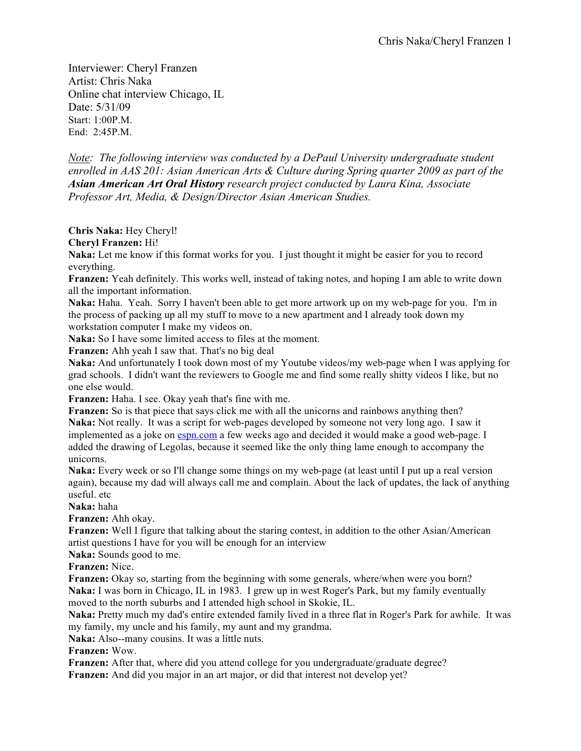Interviewer: Cheryl Franzen Artist: Chris Naka Online chat interview Chicago, IL Date: 5/31/09 Start: 1:00P.M. End: 2:45P.M.

*Note: The following interview was conducted by a DePaul University undergraduate student enrolled in AAS 201: Asian American Arts & Culture during Spring quarter 2009 as part of the Asian American Art Oral History research project conducted by Laura Kina, Associate Professor Art, Media, & Design/Director Asian American Studies.*

**Chris Naka:** Hey Cheryl!

**Cheryl Franzen:** Hi!

**Naka:** Let me know if this format works for you. I just thought it might be easier for you to record everything.

**Franzen:** Yeah definitely. This works well, instead of taking notes, and hoping I am able to write down all the important information.

**Naka:** Haha. Yeah. Sorry I haven't been able to get more artwork up on my web-page for you. I'm in the process of packing up all my stuff to move to a new apartment and I already took down my workstation computer I make my videos on.

**Naka:** So I have some limited access to files at the moment.

**Franzen:** Ahh yeah I saw that. That's no big deal

**Naka:** And unfortunately I took down most of my Youtube videos/my web-page when I was applying for grad schools. I didn't want the reviewers to Google me and find some really shitty videos I like, but no one else would.

**Franzen:** Haha. I see. Okay yeah that's fine with me.

**Franzen:** So is that piece that says click me with all the unicorns and rainbows anything then? **Naka:** Not really. It was a script for web-pages developed by someone not very long ago. I saw it implemented as a joke on espn.com a few weeks ago and decided it would make a good web-page. I added the drawing of Legolas, because it seemed like the only thing lame enough to accompany the unicorns.

**Naka:** Every week or so I'll change some things on my web-page (at least until I put up a real version again), because my dad will always call me and complain. About the lack of updates, the lack of anything useful. etc

**Naka:** haha

**Franzen:** Ahh okay.

**Franzen:** Well I figure that talking about the staring contest, in addition to the other Asian/American artist questions I have for you will be enough for an interview

**Naka:** Sounds good to me.

**Franzen:** Nice.

**Franzen:** Okay so, starting from the beginning with some generals, where/when were you born? **Naka:** I was born in Chicago, IL in 1983. I grew up in west Roger's Park, but my family eventually moved to the north suburbs and I attended high school in Skokie, IL.

**Naka:** Pretty much my dad's entire extended family lived in a three flat in Roger's Park for awhile. It was my family, my uncle and his family, my aunt and my grandma.

**Naka:** Also--many cousins. It was a little nuts.

**Franzen:** Wow.

**Franzen:** After that, where did you attend college for you undergraduate/graduate degree? **Franzen:** And did you major in an art major, or did that interest not develop yet?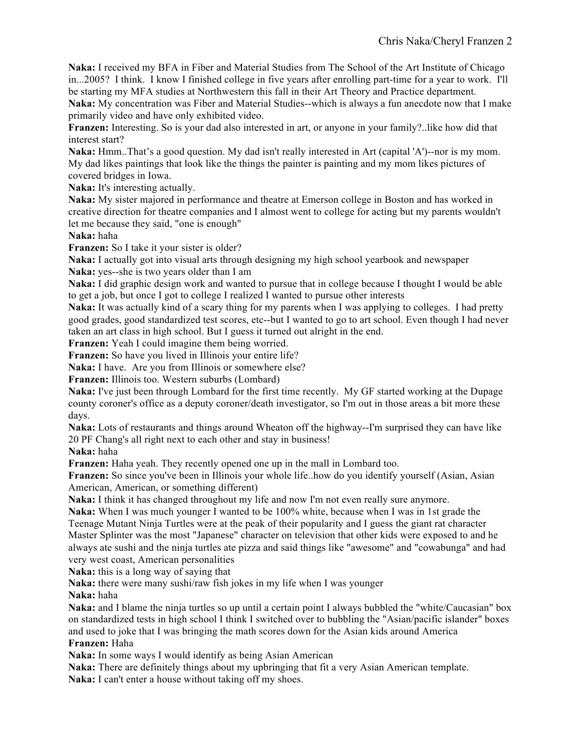**Naka:** I received my BFA in Fiber and Material Studies from The School of the Art Institute of Chicago in...2005? I think. I know I finished college in five years after enrolling part-time for a year to work. I'll be starting my MFA studies at Northwestern this fall in their Art Theory and Practice department.

**Naka:** My concentration was Fiber and Material Studies--which is always a fun anecdote now that I make primarily video and have only exhibited video.

**Franzen:** Interesting. So is your dad also interested in art, or anyone in your family?..like how did that interest start?

**Naka:** Hmm..That's a good question. My dad isn't really interested in Art (capital 'A')--nor is my mom. My dad likes paintings that look like the things the painter is painting and my mom likes pictures of covered bridges in Iowa.

**Naka:** It's interesting actually.

**Naka:** My sister majored in performance and theatre at Emerson college in Boston and has worked in creative direction for theatre companies and I almost went to college for acting but my parents wouldn't let me because they said, "one is enough"

**Naka:** haha

**Franzen:** So I take it your sister is older?

**Naka:** I actually got into visual arts through designing my high school yearbook and newspaper **Naka:** yes--she is two years older than I am

**Naka:** I did graphic design work and wanted to pursue that in college because I thought I would be able to get a job, but once I got to college I realized I wanted to pursue other interests

**Naka:** It was actually kind of a scary thing for my parents when I was applying to colleges. I had pretty good grades, good standardized test scores, etc--but I wanted to go to art school. Even though I had never taken an art class in high school. But I guess it turned out alright in the end.

**Franzen:** Yeah I could imagine them being worried.

**Franzen:** So have you lived in Illinois your entire life?

**Naka:** I have. Are you from Illinois or somewhere else?

**Franzen:** Illinois too. Western suburbs (Lombard)

**Naka:** I've just been through Lombard for the first time recently. My GF started working at the Dupage county coroner's office as a deputy coroner/death investigator, so I'm out in those areas a bit more these days.

**Naka:** Lots of restaurants and things around Wheaton off the highway--I'm surprised they can have like 20 PF Chang's all right next to each other and stay in business!

**Naka:** haha

**Franzen:** Haha yeah. They recently opened one up in the mall in Lombard too.

**Franzen:** So since you've been in Illinois your whole life..how do you identify yourself (Asian, Asian American, American, or something different)

**Naka:** I think it has changed throughout my life and now I'm not even really sure anymore.

**Naka:** When I was much younger I wanted to be 100% white, because when I was in 1st grade the Teenage Mutant Ninja Turtles were at the peak of their popularity and I guess the giant rat character Master Splinter was the most "Japanese" character on television that other kids were exposed to and he always ate sushi and the ninja turtles ate pizza and said things like "awesome" and "cowabunga" and had very west coast, American personalities

**Naka:** this is a long way of saying that

**Naka:** there were many sushi/raw fish jokes in my life when I was younger

**Naka:** haha

**Naka:** and I blame the ninja turtles so up until a certain point I always bubbled the "white/Caucasian" box on standardized tests in high school I think I switched over to bubbling the "Asian/pacific islander" boxes and used to joke that I was bringing the math scores down for the Asian kids around America **Franzen:** Haha

**Naka:** In some ways I would identify as being Asian American

**Naka:** There are definitely things about my upbringing that fit a very Asian American template. **Naka:** I can't enter a house without taking off my shoes.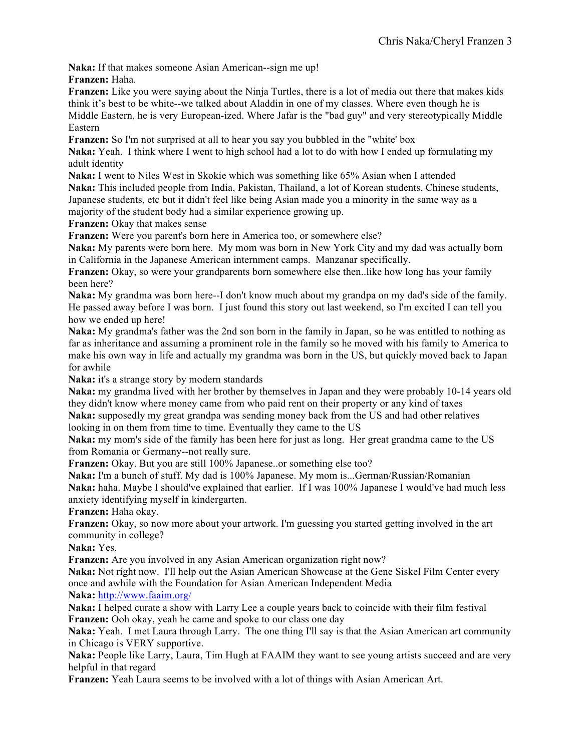**Naka:** If that makes someone Asian American--sign me up!

**Franzen:** Haha.

**Franzen:** Like you were saying about the Ninja Turtles, there is a lot of media out there that makes kids think it's best to be white--we talked about Aladdin in one of my classes. Where even though he is Middle Eastern, he is very European-ized. Where Jafar is the "bad guy" and very stereotypically Middle Eastern

**Franzen:** So I'm not surprised at all to hear you say you bubbled in the "white' box

**Naka:** Yeah. I think where I went to high school had a lot to do with how I ended up formulating my adult identity

**Naka:** I went to Niles West in Skokie which was something like 65% Asian when I attended **Naka:** This included people from India, Pakistan, Thailand, a lot of Korean students, Chinese students, Japanese students, etc but it didn't feel like being Asian made you a minority in the same way as a majority of the student body had a similar experience growing up.

**Franzen:** Okay that makes sense

**Franzen:** Were you parent's born here in America too, or somewhere else?

**Naka:** My parents were born here. My mom was born in New York City and my dad was actually born in California in the Japanese American internment camps. Manzanar specifically.

**Franzen:** Okay, so were your grandparents born somewhere else then..like how long has your family been here?

**Naka:** My grandma was born here--I don't know much about my grandpa on my dad's side of the family. He passed away before I was born. I just found this story out last weekend, so I'm excited I can tell you how we ended up here!

**Naka:** My grandma's father was the 2nd son born in the family in Japan, so he was entitled to nothing as far as inheritance and assuming a prominent role in the family so he moved with his family to America to make his own way in life and actually my grandma was born in the US, but quickly moved back to Japan for awhile

**Naka:** it's a strange story by modern standards

**Naka:** my grandma lived with her brother by themselves in Japan and they were probably 10-14 years old they didn't know where money came from who paid rent on their property or any kind of taxes

**Naka:** supposedly my great grandpa was sending money back from the US and had other relatives looking in on them from time to time. Eventually they came to the US

**Naka:** my mom's side of the family has been here for just as long. Her great grandma came to the US from Romania or Germany--not really sure.

Franzen: Okay. But you are still 100% Japanese..or something else too?

**Naka:** I'm a bunch of stuff. My dad is 100% Japanese. My mom is...German/Russian/Romanian **Naka:** haha. Maybe I should've explained that earlier. If I was 100% Japanese I would've had much less anxiety identifying myself in kindergarten.

**Franzen:** Haha okay.

Franzen: Okay, so now more about your artwork. I'm guessing you started getting involved in the art community in college?

**Naka:** Yes.

**Franzen:** Are you involved in any Asian American organization right now?

**Naka:** Not right now. I'll help out the Asian American Showcase at the Gene Siskel Film Center every once and awhile with the Foundation for Asian American Independent Media

**Naka:** http://www.faaim.org/

**Naka:** I helped curate a show with Larry Lee a couple years back to coincide with their film festival Franzen: Ooh okay, yeah he came and spoke to our class one day

**Naka:** Yeah. I met Laura through Larry. The one thing I'll say is that the Asian American art community in Chicago is VERY supportive.

**Naka:** People like Larry, Laura, Tim Hugh at FAAIM they want to see young artists succeed and are very helpful in that regard

**Franzen:** Yeah Laura seems to be involved with a lot of things with Asian American Art.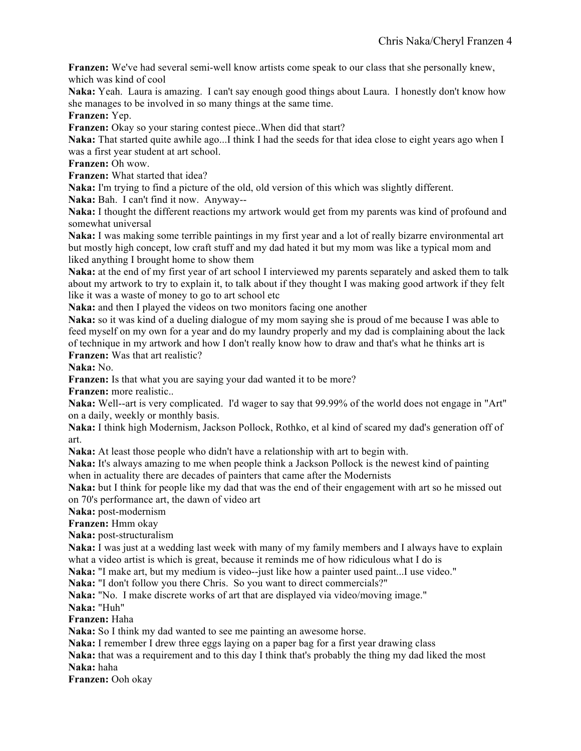**Franzen:** We've had several semi-well know artists come speak to our class that she personally knew, which was kind of cool

**Naka:** Yeah. Laura is amazing. I can't say enough good things about Laura. I honestly don't know how she manages to be involved in so many things at the same time.

**Franzen:** Yep.

**Franzen:** Okay so your staring contest piece. When did that start?

**Naka:** That started quite awhile ago...I think I had the seeds for that idea close to eight years ago when I was a first year student at art school.

**Franzen:** Oh wow.

**Franzen:** What started that idea?

**Naka:** I'm trying to find a picture of the old, old version of this which was slightly different.

**Naka:** Bah. I can't find it now. Anyway--

**Naka:** I thought the different reactions my artwork would get from my parents was kind of profound and somewhat universal

**Naka:** I was making some terrible paintings in my first year and a lot of really bizarre environmental art but mostly high concept, low craft stuff and my dad hated it but my mom was like a typical mom and liked anything I brought home to show them

**Naka:** at the end of my first year of art school I interviewed my parents separately and asked them to talk about my artwork to try to explain it, to talk about if they thought I was making good artwork if they felt like it was a waste of money to go to art school etc

**Naka:** and then I played the videos on two monitors facing one another

**Naka:** so it was kind of a dueling dialogue of my mom saying she is proud of me because I was able to feed myself on my own for a year and do my laundry properly and my dad is complaining about the lack of technique in my artwork and how I don't really know how to draw and that's what he thinks art is **Franzen:** Was that art realistic?

**Naka:** No.

Franzen: Is that what you are saying your dad wanted it to be more?

**Franzen:** more realistic..

**Naka:** Well--art is very complicated. I'd wager to say that 99.99% of the world does not engage in "Art" on a daily, weekly or monthly basis.

**Naka:** I think high Modernism, Jackson Pollock, Rothko, et al kind of scared my dad's generation off of art.

**Naka:** At least those people who didn't have a relationship with art to begin with.

**Naka:** It's always amazing to me when people think a Jackson Pollock is the newest kind of painting when in actuality there are decades of painters that came after the Modernists

**Naka:** but I think for people like my dad that was the end of their engagement with art so he missed out on 70's performance art, the dawn of video art

**Naka:** post-modernism

**Franzen:** Hmm okay

**Naka:** post-structuralism

**Naka:** I was just at a wedding last week with many of my family members and I always have to explain what a video artist is which is great, because it reminds me of how ridiculous what I do is

**Naka:** "I make art, but my medium is video--just like how a painter used paint...I use video."

**Naka:** "I don't follow you there Chris. So you want to direct commercials?"

**Naka:** "No. I make discrete works of art that are displayed via video/moving image."

**Naka:** "Huh"

**Franzen:** Haha

**Naka:** So I think my dad wanted to see me painting an awesome horse.

**Naka:** I remember I drew three eggs laying on a paper bag for a first year drawing class

**Naka:** that was a requirement and to this day I think that's probably the thing my dad liked the most **Naka:** haha

**Franzen:** Ooh okay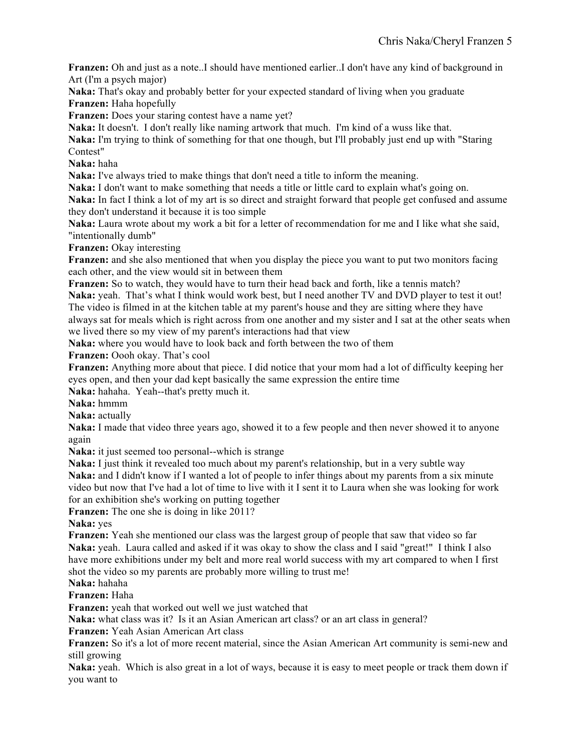**Franzen:** Oh and just as a note..I should have mentioned earlier..I don't have any kind of background in Art (I'm a psych major)

**Naka:** That's okay and probably better for your expected standard of living when you graduate **Franzen:** Haha hopefully

**Franzen:** Does your staring contest have a name yet?

**Naka:** It doesn't. I don't really like naming artwork that much. I'm kind of a wuss like that.

**Naka:** I'm trying to think of something for that one though, but I'll probably just end up with "Staring Contest"

**Naka:** haha

**Naka:** I've always tried to make things that don't need a title to inform the meaning.

**Naka:** I don't want to make something that needs a title or little card to explain what's going on.

**Naka:** In fact I think a lot of my art is so direct and straight forward that people get confused and assume they don't understand it because it is too simple

**Naka:** Laura wrote about my work a bit for a letter of recommendation for me and I like what she said, "intentionally dumb"

**Franzen:** Okay interesting

**Franzen:** and she also mentioned that when you display the piece you want to put two monitors facing each other, and the view would sit in between them

**Franzen:** So to watch, they would have to turn their head back and forth, like a tennis match? **Naka:** yeah. That's what I think would work best, but I need another TV and DVD player to test it out! The video is filmed in at the kitchen table at my parent's house and they are sitting where they have always sat for meals which is right across from one another and my sister and I sat at the other seats when we lived there so my view of my parent's interactions had that view

**Naka:** where you would have to look back and forth between the two of them

**Franzen:** Oooh okay. That's cool

**Franzen:** Anything more about that piece. I did notice that your mom had a lot of difficulty keeping her eyes open, and then your dad kept basically the same expression the entire time

**Naka:** hahaha. Yeah--that's pretty much it.

**Naka:** hmmm

**Naka:** actually

**Naka:** I made that video three years ago, showed it to a few people and then never showed it to anyone again

**Naka:** it just seemed too personal--which is strange

**Naka:** I just think it revealed too much about my parent's relationship, but in a very subtle way

**Naka:** and I didn't know if I wanted a lot of people to infer things about my parents from a six minute video but now that I've had a lot of time to live with it I sent it to Laura when she was looking for work for an exhibition she's working on putting together

**Franzen:** The one she is doing in like 2011?

**Naka:** yes

**Franzen:** Yeah she mentioned our class was the largest group of people that saw that video so far **Naka:** yeah. Laura called and asked if it was okay to show the class and I said "great!" I think I also have more exhibitions under my belt and more real world success with my art compared to when I first shot the video so my parents are probably more willing to trust me!

**Naka:** hahaha

**Franzen:** Haha

**Franzen:** yeah that worked out well we just watched that

**Naka:** what class was it? Is it an Asian American art class? or an art class in general?

**Franzen:** Yeah Asian American Art class

**Franzen:** So it's a lot of more recent material, since the Asian American Art community is semi-new and still growing

**Naka:** yeah. Which is also great in a lot of ways, because it is easy to meet people or track them down if you want to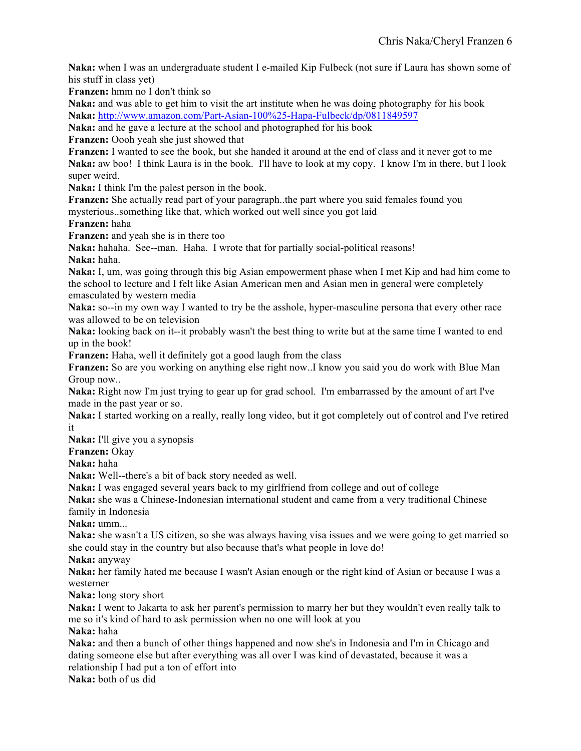**Naka:** when I was an undergraduate student I e-mailed Kip Fulbeck (not sure if Laura has shown some of his stuff in class yet)

**Franzen:** hmm no I don't think so

**Naka:** and was able to get him to visit the art institute when he was doing photography for his book **Naka:** http://www.amazon.com/Part-Asian-100%25-Hapa-Fulbeck/dp/0811849597

**Naka:** and he gave a lecture at the school and photographed for his book

**Franzen:** Oooh yeah she just showed that

**Franzen:** I wanted to see the book, but she handed it around at the end of class and it never got to me **Naka:** aw boo! I think Laura is in the book. I'll have to look at my copy. I know I'm in there, but I look super weird.

**Naka:** I think I'm the palest person in the book.

**Franzen:** She actually read part of your paragraph..the part where you said females found you mysterious..something like that, which worked out well since you got laid

**Franzen:** haha

**Franzen:** and yeah she is in there too

**Naka:** hahaha. See--man. Haha. I wrote that for partially social-political reasons! **Naka:** haha.

**Naka:** I, um, was going through this big Asian empowerment phase when I met Kip and had him come to the school to lecture and I felt like Asian American men and Asian men in general were completely emasculated by western media

**Naka:** so--in my own way I wanted to try be the asshole, hyper-masculine persona that every other race was allowed to be on television

**Naka:** looking back on it--it probably wasn't the best thing to write but at the same time I wanted to end up in the book!

Franzen: Haha, well it definitely got a good laugh from the class

**Franzen:** So are you working on anything else right now..I know you said you do work with Blue Man Group now..

**Naka:** Right now I'm just trying to gear up for grad school. I'm embarrassed by the amount of art I've made in the past year or so.

**Naka:** I started working on a really, really long video, but it got completely out of control and I've retired it

**Naka:** I'll give you a synopsis

**Franzen:** Okay

**Naka:** haha

**Naka:** Well--there's a bit of back story needed as well.

**Naka:** I was engaged several years back to my girlfriend from college and out of college

**Naka:** she was a Chinese-Indonesian international student and came from a very traditional Chinese family in Indonesia

**Naka:** umm...

**Naka:** she wasn't a US citizen, so she was always having visa issues and we were going to get married so she could stay in the country but also because that's what people in love do!

**Naka:** anyway

**Naka:** her family hated me because I wasn't Asian enough or the right kind of Asian or because I was a westerner

**Naka:** long story short

**Naka:** I went to Jakarta to ask her parent's permission to marry her but they wouldn't even really talk to me so it's kind of hard to ask permission when no one will look at you

**Naka:** haha

**Naka:** and then a bunch of other things happened and now she's in Indonesia and I'm in Chicago and dating someone else but after everything was all over I was kind of devastated, because it was a relationship I had put a ton of effort into

**Naka:** both of us did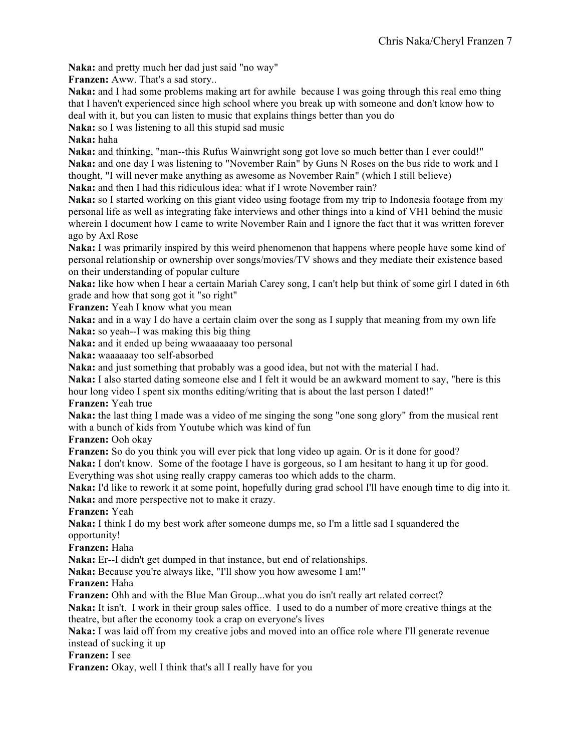**Naka:** and pretty much her dad just said "no way"

**Franzen:** Aww. That's a sad story...

**Naka:** and I had some problems making art for awhile because I was going through this real emo thing that I haven't experienced since high school where you break up with someone and don't know how to deal with it, but you can listen to music that explains things better than you do

**Naka:** so I was listening to all this stupid sad music

## **Naka:** haha

**Naka:** and thinking, "man--this Rufus Wainwright song got love so much better than I ever could!" **Naka:** and one day I was listening to "November Rain" by Guns N Roses on the bus ride to work and I thought, "I will never make anything as awesome as November Rain" (which I still believe) **Naka:** and then I had this ridiculous idea: what if I wrote November rain?

**Naka:** so I started working on this giant video using footage from my trip to Indonesia footage from my personal life as well as integrating fake interviews and other things into a kind of VH1 behind the music wherein I document how I came to write November Rain and I ignore the fact that it was written forever ago by Axl Rose

**Naka:** I was primarily inspired by this weird phenomenon that happens where people have some kind of personal relationship or ownership over songs/movies/TV shows and they mediate their existence based on their understanding of popular culture

**Naka:** like how when I hear a certain Mariah Carey song, I can't help but think of some girl I dated in 6th grade and how that song got it "so right"

**Franzen:** Yeah I know what you mean

**Naka:** and in a way I do have a certain claim over the song as I supply that meaning from my own life **Naka:** so yeah--I was making this big thing

**Naka:** and it ended up being wwaaaaaay too personal

**Naka:** waaaaaay too self-absorbed

**Naka:** and just something that probably was a good idea, but not with the material I had.

**Naka:** I also started dating someone else and I felt it would be an awkward moment to say, "here is this hour long video I spent six months editing/writing that is about the last person I dated!"

**Franzen:** Yeah true

**Naka:** the last thing I made was a video of me singing the song "one song glory" from the musical rent with a bunch of kids from Youtube which was kind of fun

**Franzen:** Ooh okay

**Franzen:** So do you think you will ever pick that long video up again. Or is it done for good?

**Naka:** I don't know. Some of the footage I have is gorgeous, so I am hesitant to hang it up for good. Everything was shot using really crappy cameras too which adds to the charm.

**Naka:** I'd like to rework it at some point, hopefully during grad school I'll have enough time to dig into it. **Naka:** and more perspective not to make it crazy.

**Franzen:** Yeah

**Naka:** I think I do my best work after someone dumps me, so I'm a little sad I squandered the opportunity!

**Franzen:** Haha

**Naka:** Er--I didn't get dumped in that instance, but end of relationships.

Naka: Because you're always like, "I'll show you how awesome I am!"

## **Franzen:** Haha

**Franzen:** Ohh and with the Blue Man Group...what you do isn't really art related correct?

**Naka:** It isn't. I work in their group sales office. I used to do a number of more creative things at the theatre, but after the economy took a crap on everyone's lives

**Naka:** I was laid off from my creative jobs and moved into an office role where I'll generate revenue instead of sucking it up

**Franzen:** I see

Franzen: Okay, well I think that's all I really have for you